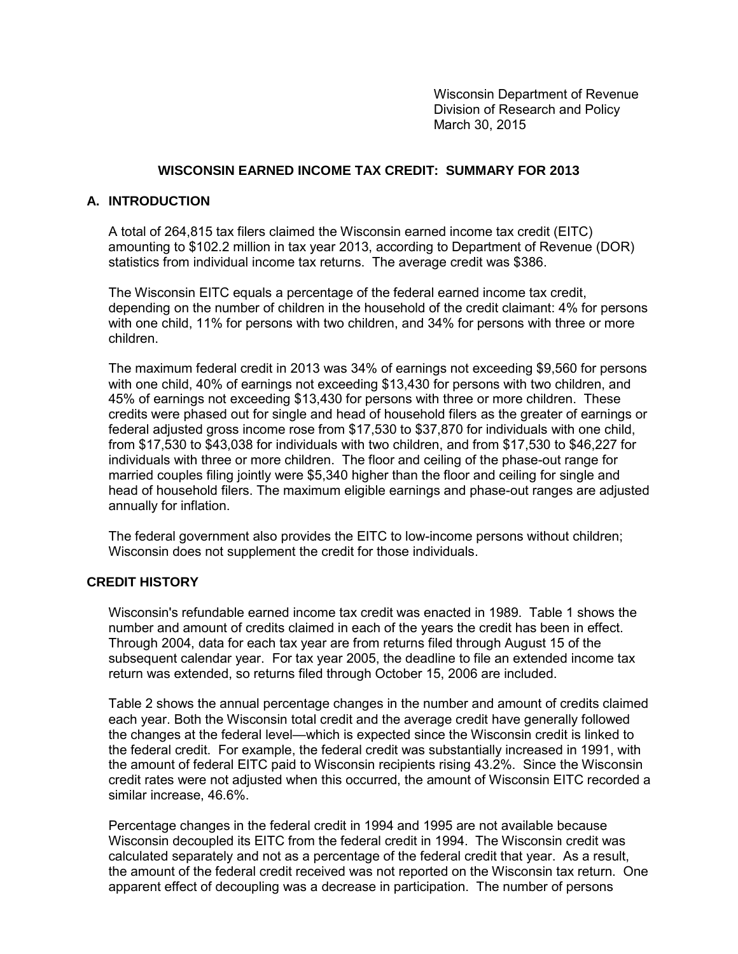Wisconsin Department of Revenue Division of Research and Policy March 30, 2015

# **WISCONSIN EARNED INCOME TAX CREDIT: SUMMARY FOR 2013**

# **A. INTRODUCTION**

A total of 264,815 tax filers claimed the Wisconsin earned income tax credit (EITC) amounting to \$102.2 million in tax year 2013, according to Department of Revenue (DOR) statistics from individual income tax returns. The average credit was \$386.

The Wisconsin EITC equals a percentage of the federal earned income tax credit, depending on the number of children in the household of the credit claimant: 4% for persons with one child, 11% for persons with two children, and 34% for persons with three or more children.

The maximum federal credit in 2013 was 34% of earnings not exceeding \$9,560 for persons with one child, 40% of earnings not exceeding \$13,430 for persons with two children, and 45% of earnings not exceeding \$13,430 for persons with three or more children. These credits were phased out for single and head of household filers as the greater of earnings or federal adjusted gross income rose from \$17,530 to \$37,870 for individuals with one child, from \$17,530 to \$43,038 for individuals with two children, and from \$17,530 to \$46,227 for individuals with three or more children. The floor and ceiling of the phase-out range for married couples filing jointly were \$5,340 higher than the floor and ceiling for single and head of household filers. The maximum eligible earnings and phase-out ranges are adjusted annually for inflation.

The federal government also provides the EITC to low-income persons without children; Wisconsin does not supplement the credit for those individuals.

### **CREDIT HISTORY**

Wisconsin's refundable earned income tax credit was enacted in 1989. Table 1 shows the number and amount of credits claimed in each of the years the credit has been in effect. Through 2004, data for each tax year are from returns filed through August 15 of the subsequent calendar year. For tax year 2005, the deadline to file an extended income tax return was extended, so returns filed through October 15, 2006 are included.

Table 2 shows the annual percentage changes in the number and amount of credits claimed each year. Both the Wisconsin total credit and the average credit have generally followed the changes at the federal level—which is expected since the Wisconsin credit is linked to the federal credit. For example, the federal credit was substantially increased in 1991, with the amount of federal EITC paid to Wisconsin recipients rising 43.2%. Since the Wisconsin credit rates were not adjusted when this occurred, the amount of Wisconsin EITC recorded a similar increase, 46.6%.

Percentage changes in the federal credit in 1994 and 1995 are not available because Wisconsin decoupled its EITC from the federal credit in 1994. The Wisconsin credit was calculated separately and not as a percentage of the federal credit that year. As a result, the amount of the federal credit received was not reported on the Wisconsin tax return. One apparent effect of decoupling was a decrease in participation. The number of persons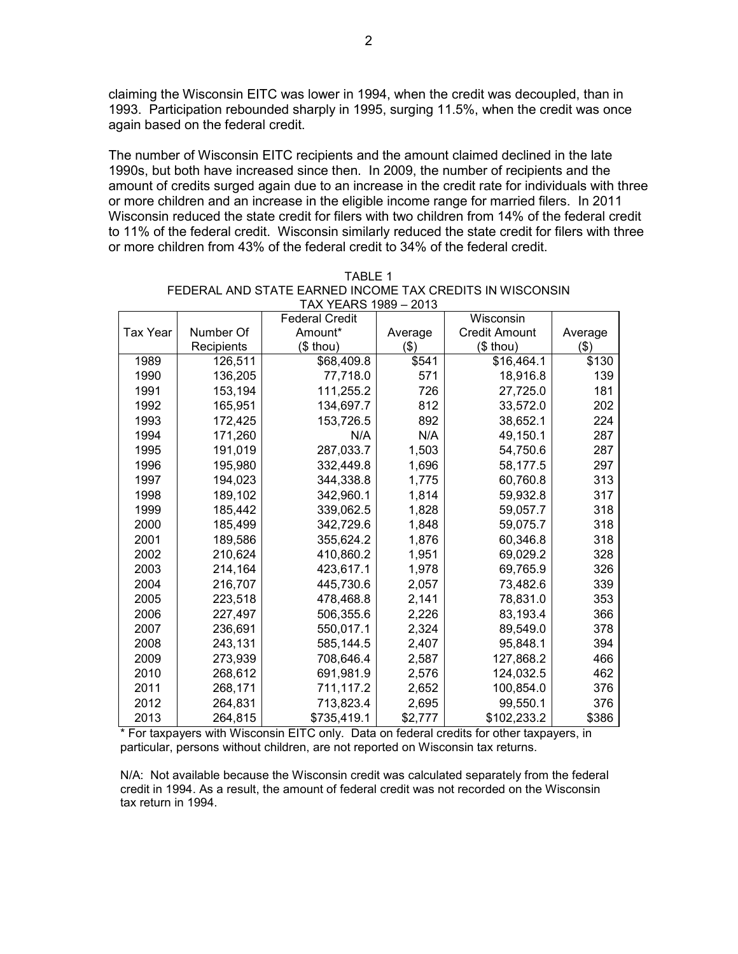claiming the Wisconsin EITC was lower in 1994, when the credit was decoupled, than in 1993. Participation rebounded sharply in 1995, surging 11.5%, when the credit was once again based on the federal credit.

The number of Wisconsin EITC recipients and the amount claimed declined in the late 1990s, but both have increased since then. In 2009, the number of recipients and the amount of credits surged again due to an increase in the credit rate for individuals with three or more children and an increase in the eligible income range for married filers. In 2011 Wisconsin reduced the state credit for filers with two children from 14% of the federal credit to 11% of the federal credit. Wisconsin similarly reduced the state credit for filers with three or more children from 43% of the federal credit to 34% of the federal credit.

|                 |            | $1701$ $1203 - 2010$<br><b>Federal Credit</b> |         | Wisconsin            |         |
|-----------------|------------|-----------------------------------------------|---------|----------------------|---------|
| <b>Tax Year</b> | Number Of  | Amount*                                       | Average | <b>Credit Amount</b> | Average |
|                 | Recipients | $($$ thou)                                    | \$)     | $$$ thou)            | \$)     |
| 1989            | 126,511    | \$68,409.8                                    | \$541   | \$16,464.1           | \$130   |
| 1990            | 136,205    | 77,718.0                                      | 571     | 18,916.8             | 139     |
| 1991            | 153,194    | 111,255.2                                     | 726     | 27,725.0             | 181     |
| 1992            | 165,951    | 134,697.7                                     | 812     | 33,572.0             | 202     |
| 1993            | 172,425    | 153,726.5                                     | 892     | 38,652.1             | 224     |
| 1994            | 171,260    | N/A                                           | N/A     | 49,150.1             | 287     |
| 1995            | 191,019    | 287,033.7                                     | 1,503   | 54,750.6             | 287     |
| 1996            | 195,980    | 332,449.8                                     | 1,696   | 58,177.5             | 297     |
| 1997            | 194,023    | 344,338.8                                     | 1,775   | 60,760.8             | 313     |
| 1998            | 189,102    | 342,960.1                                     | 1,814   | 59,932.8             | 317     |
| 1999            | 185,442    | 339,062.5                                     | 1,828   | 59,057.7             | 318     |
| 2000            | 185,499    | 342,729.6                                     | 1,848   | 59,075.7             | 318     |
| 2001            | 189,586    | 355,624.2                                     | 1,876   | 60,346.8             | 318     |
| 2002            | 210,624    | 410,860.2                                     | 1,951   | 69,029.2             | 328     |
| 2003            | 214,164    | 423,617.1                                     | 1,978   | 69,765.9             | 326     |
| 2004            | 216,707    | 445,730.6                                     | 2,057   | 73,482.6             | 339     |
| 2005            | 223,518    | 478,468.8                                     | 2,141   | 78,831.0             | 353     |
| 2006            | 227,497    | 506,355.6                                     | 2,226   | 83,193.4             | 366     |
| 2007            | 236,691    | 550,017.1                                     | 2,324   | 89,549.0             | 378     |
| 2008            | 243,131    | 585,144.5                                     | 2,407   | 95,848.1             | 394     |
| 2009            | 273,939    | 708,646.4                                     | 2,587   | 127,868.2            | 466     |
| 2010            | 268,612    | 691,981.9                                     | 2,576   | 124,032.5            | 462     |
| 2011            | 268,171    | 711,117.2                                     | 2,652   | 100,854.0            | 376     |
| 2012            | 264,831    | 713,823.4                                     | 2,695   | 99,550.1             | 376     |
| 2013            | 264,815    | \$735,419.1                                   | \$2,777 | \$102,233.2          | \$386   |

| TARI F 1                                                 |
|----------------------------------------------------------|
| FEDERAL AND STATE EARNED INCOME TAX CREDITS IN WISCONSIN |
| TAX YEARS 1989 - 2013                                    |

\* For taxpayers with Wisconsin EITC only. Data on federal credits for other taxpayers, in particular, persons without children, are not reported on Wisconsin tax returns.

N/A: Not available because the Wisconsin credit was calculated separately from the federal credit in 1994. As a result, the amount of federal credit was not recorded on the Wisconsin tax return in 1994.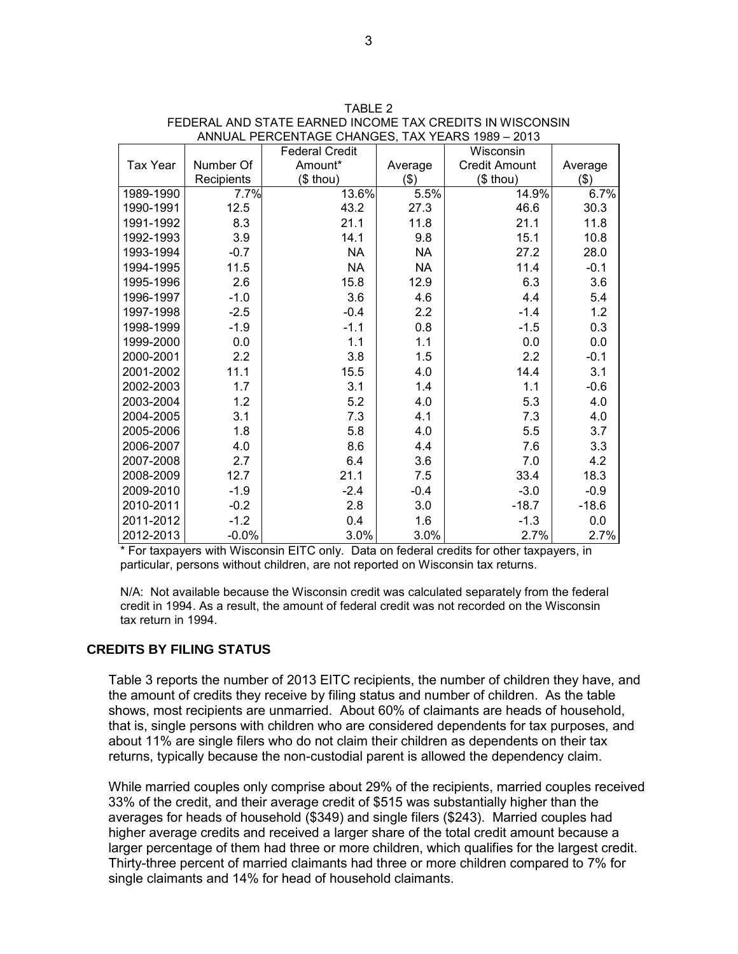|                 |            | <b>Federal Credit</b> |           | Wisconsin            |         |
|-----------------|------------|-----------------------|-----------|----------------------|---------|
| <b>Tax Year</b> | Number Of  | Amount*               | Average   | <b>Credit Amount</b> | Average |
|                 | Recipients | $($$ thou)            | \$)       | $$$ thou)            | $($ \$) |
| 1989-1990       | 7.7%       | 13.6%                 | 5.5%      | 14.9%                | 6.7%    |
| 1990-1991       | 12.5       | 43.2                  | 27.3      | 46.6                 | 30.3    |
| 1991-1992       | 8.3        | 21.1                  | 11.8      | 21.1                 | 11.8    |
| 1992-1993       | 3.9        | 14.1                  | 9.8       | 15.1                 | 10.8    |
| 1993-1994       | $-0.7$     | <b>NA</b>             | <b>NA</b> | 27.2                 | 28.0    |
| 1994-1995       | 11.5       | <b>NA</b>             | <b>NA</b> | 11.4                 | $-0.1$  |
| 1995-1996       | 2.6        | 15.8                  | 12.9      | 6.3                  | 3.6     |
| 1996-1997       | $-1.0$     | 3.6                   | 4.6       | 4.4                  | 5.4     |
| 1997-1998       | $-2.5$     | $-0.4$                | 2.2       | $-1.4$               | 1.2     |
| 1998-1999       | $-1.9$     | $-1.1$                | 0.8       | $-1.5$               | 0.3     |
| 1999-2000       | 0.0        | 1.1                   | 1.1       | 0.0                  | 0.0     |
| 2000-2001       | 2.2        | 3.8                   | 1.5       | 2.2                  | $-0.1$  |
| 2001-2002       | 11.1       | 15.5                  | 4.0       | 14.4                 | 3.1     |
| 2002-2003       | 1.7        | 3.1                   | 1.4       | 1.1                  | $-0.6$  |
| 2003-2004       | 1.2        | 5.2                   | 4.0       | 5.3                  | 4.0     |
| 2004-2005       | 3.1        | 7.3                   | 4.1       | 7.3                  | 4.0     |
| 2005-2006       | 1.8        | 5.8                   | 4.0       | 5.5                  | 3.7     |
| 2006-2007       | 4.0        | 8.6                   | 4.4       | 7.6                  | 3.3     |
| 2007-2008       | 2.7        | 6.4                   | 3.6       | 7.0                  | 4.2     |
| 2008-2009       | 12.7       | 21.1                  | 7.5       | 33.4                 | 18.3    |
| 2009-2010       | $-1.9$     | $-2.4$                | $-0.4$    | $-3.0$               | $-0.9$  |
| 2010-2011       | $-0.2$     | 2.8                   | 3.0       | $-18.7$              | $-18.6$ |
| 2011-2012       | $-1.2$     | 0.4                   | 1.6       | $-1.3$               | 0.0     |
| 2012-2013       | $-0.0%$    | 3.0%                  | 3.0%      | 2.7%                 | 2.7%    |

| TARI F 2                                                 |
|----------------------------------------------------------|
| FEDERAL AND STATE EARNED INCOME TAX CREDITS IN WISCONSIN |
| ANNUAL PERCENTAGE CHANGES. TAX YEARS 1989 - 2013         |

\* For taxpayers with Wisconsin EITC only. Data on federal credits for other taxpayers, in particular, persons without children, are not reported on Wisconsin tax returns.

N/A: Not available because the Wisconsin credit was calculated separately from the federal credit in 1994. As a result, the amount of federal credit was not recorded on the Wisconsin tax return in 1994.

### **CREDITS BY FILING STATUS**

Table 3 reports the number of 2013 EITC recipients, the number of children they have, and the amount of credits they receive by filing status and number of children. As the table shows, most recipients are unmarried. About 60% of claimants are heads of household, that is, single persons with children who are considered dependents for tax purposes, and about 11% are single filers who do not claim their children as dependents on their tax returns, typically because the non-custodial parent is allowed the dependency claim.

While married couples only comprise about 29% of the recipients, married couples received 33% of the credit, and their average credit of \$515 was substantially higher than the averages for heads of household (\$349) and single filers (\$243). Married couples had higher average credits and received a larger share of the total credit amount because a larger percentage of them had three or more children, which qualifies for the largest credit. Thirty-three percent of married claimants had three or more children compared to 7% for single claimants and 14% for head of household claimants.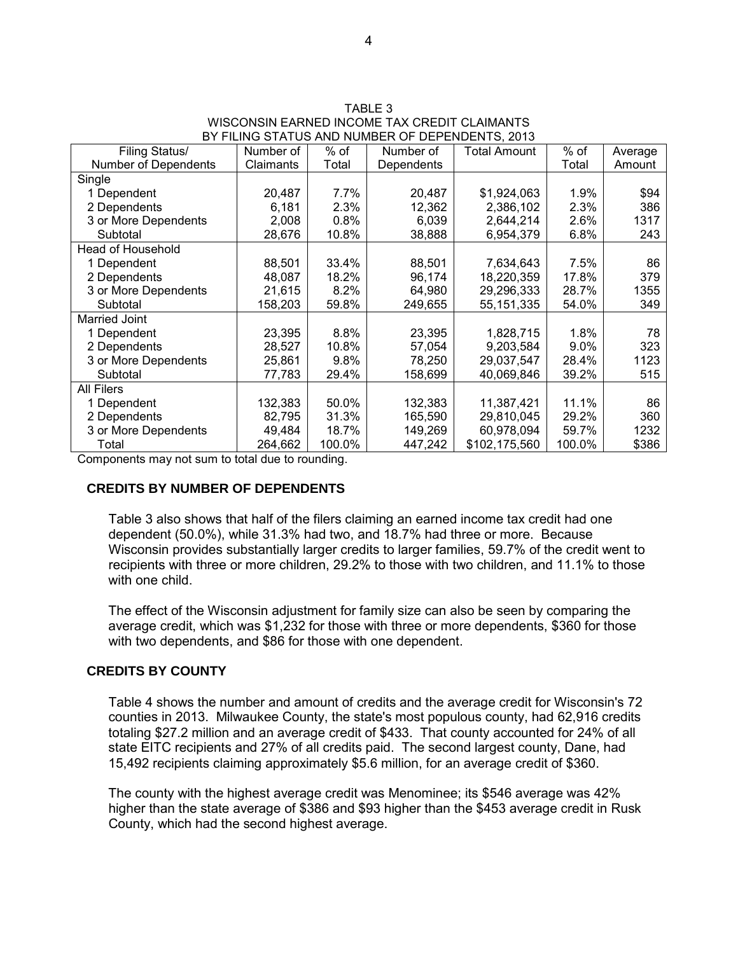| TABLE 3                                         |
|-------------------------------------------------|
| WISCONSIN EARNED INCOME TAX CREDIT CLAIMANTS    |
| BY FILING STATUS AND NUMBER OF DEPENDENTS. 2013 |

| Filing Status/           | Number of | % of   | Number of  | Total Amount  | % of    | Average |
|--------------------------|-----------|--------|------------|---------------|---------|---------|
| Number of Dependents     | Claimants | Total  | Dependents |               | Total   | Amount  |
| Single                   |           |        |            |               |         |         |
| 1 Dependent              | 20,487    | 7.7%   | 20,487     | \$1,924,063   | 1.9%    | \$94    |
| 2 Dependents             | 6,181     | 2.3%   | 12,362     | 2,386,102     | 2.3%    | 386     |
| 3 or More Dependents     | 2,008     | 0.8%   | 6,039      | 2,644,214     | 2.6%    | 1317    |
| Subtotal                 | 28,676    | 10.8%  | 38,888     | 6,954,379     | 6.8%    | 243     |
| <b>Head of Household</b> |           |        |            |               |         |         |
| 1 Dependent              | 88,501    | 33.4%  | 88,501     | 7,634,643     | 7.5%    | 86      |
| 2 Dependents             | 48,087    | 18.2%  | 96,174     | 18,220,359    | 17.8%   | 379     |
| 3 or More Dependents     | 21,615    | 8.2%   | 64,980     | 29,296,333    | 28.7%   | 1355    |
| Subtotal                 | 158,203   | 59.8%  | 249,655    | 55, 151, 335  | 54.0%   | 349     |
| <b>Married Joint</b>     |           |        |            |               |         |         |
| 1 Dependent              | 23,395    | 8.8%   | 23,395     | 1,828,715     | 1.8%    | 78      |
| 2 Dependents             | 28,527    | 10.8%  | 57,054     | 9,203,584     | $9.0\%$ | 323     |
| 3 or More Dependents     | 25,861    | 9.8%   | 78,250     | 29,037,547    | 28.4%   | 1123    |
| Subtotal                 | 77,783    | 29.4%  | 158,699    | 40,069,846    | 39.2%   | 515     |
| <b>All Filers</b>        |           |        |            |               |         |         |
| 1 Dependent              | 132,383   | 50.0%  | 132,383    | 11,387,421    | 11.1%   | 86      |
| 2 Dependents             | 82,795    | 31.3%  | 165,590    | 29,810,045    | 29.2%   | 360     |
| 3 or More Dependents     | 49,484    | 18.7%  | 149,269    | 60,978,094    | 59.7%   | 1232    |
| Total                    | 264,662   | 100.0% | 447,242    | \$102,175,560 | 100.0%  | \$386   |

Components may not sum to total due to rounding.

#### **CREDITS BY NUMBER OF DEPENDENTS**

Table 3 also shows that half of the filers claiming an earned income tax credit had one dependent (50.0%), while 31.3% had two, and 18.7% had three or more. Because Wisconsin provides substantially larger credits to larger families, 59.7% of the credit went to recipients with three or more children, 29.2% to those with two children, and 11.1% to those with one child

The effect of the Wisconsin adjustment for family size can also be seen by comparing the average credit, which was \$1,232 for those with three or more dependents, \$360 for those with two dependents, and \$86 for those with one dependent.

#### **CREDITS BY COUNTY**

Table 4 shows the number and amount of credits and the average credit for Wisconsin's 72 counties in 2013. Milwaukee County, the state's most populous county, had 62,916 credits totaling \$27.2 million and an average credit of \$433. That county accounted for 24% of all state EITC recipients and 27% of all credits paid. The second largest county, Dane, had 15,492 recipients claiming approximately \$5.6 million, for an average credit of \$360.

The county with the highest average credit was Menominee; its \$546 average was 42% higher than the state average of \$386 and \$93 higher than the \$453 average credit in Rusk County, which had the second highest average.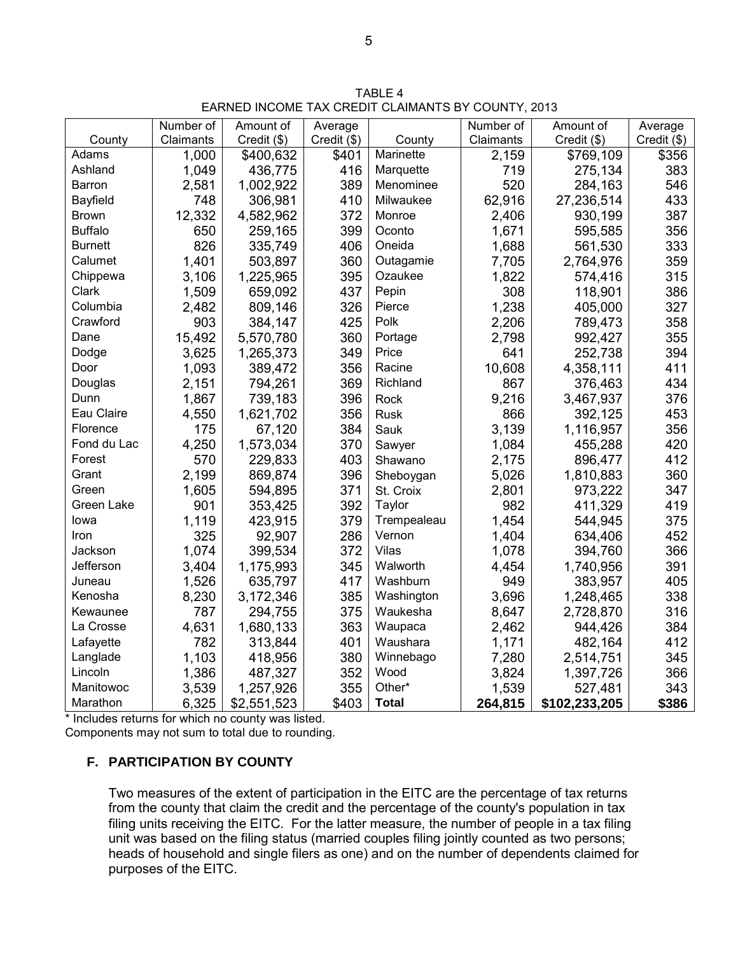TABLE 4 EARNED INCOME TAX CREDIT CLAIMANTS BY COUNTY, 2013

|                | Number of | Amount of   | Average     |              | Number of | Amount of     | Average     |
|----------------|-----------|-------------|-------------|--------------|-----------|---------------|-------------|
| County         | Claimants | Credit (\$) | Credit (\$) | County       | Claimants | Credit (\$)   | Credit (\$) |
| Adams          | 1,000     | \$400,632   | \$401       | Marinette    | 2,159     | \$769,109     | \$356       |
| Ashland        | 1,049     | 436,775     | 416         | Marquette    | 719       | 275,134       | 383         |
| Barron         | 2,581     | 1,002,922   | 389         | Menominee    | 520       | 284,163       | 546         |
| Bayfield       | 748       | 306,981     | 410         | Milwaukee    | 62,916    | 27,236,514    | 433         |
| <b>Brown</b>   | 12,332    | 4,582,962   | 372         | Monroe       | 2,406     | 930,199       | 387         |
| <b>Buffalo</b> | 650       | 259,165     | 399         | Oconto       | 1,671     | 595,585       | 356         |
| <b>Burnett</b> | 826       | 335,749     | 406         | Oneida       | 1,688     | 561,530       | 333         |
| Calumet        | 1,401     | 503,897     | 360         | Outagamie    | 7,705     | 2,764,976     | 359         |
| Chippewa       | 3,106     | 1,225,965   | 395         | Ozaukee      | 1,822     | 574,416       | 315         |
| Clark          | 1,509     | 659,092     | 437         | Pepin        | 308       | 118,901       | 386         |
| Columbia       | 2,482     | 809,146     | 326         | Pierce       | 1,238     | 405,000       | 327         |
| Crawford       | 903       | 384,147     | 425         | Polk         | 2,206     | 789,473       | 358         |
| Dane           | 15,492    | 5,570,780   | 360         | Portage      | 2,798     | 992,427       | 355         |
| Dodge          | 3,625     | 1,265,373   | 349         | Price        | 641       | 252,738       | 394         |
| Door           | 1,093     | 389,472     | 356         | Racine       | 10,608    | 4,358,111     | 411         |
| Douglas        | 2,151     | 794,261     | 369         | Richland     | 867       | 376,463       | 434         |
| Dunn           | 1,867     | 739,183     | 396         | Rock         | 9,216     | 3,467,937     | 376         |
| Eau Claire     | 4,550     | 1,621,702   | 356         | <b>Rusk</b>  | 866       | 392,125       | 453         |
| Florence       | 175       | 67,120      | 384         | Sauk         | 3,139     | 1,116,957     | 356         |
| Fond du Lac    | 4,250     | 1,573,034   | 370         | Sawyer       | 1,084     | 455,288       | 420         |
| Forest         | 570       | 229,833     | 403         | Shawano      | 2,175     | 896,477       | 412         |
| Grant          | 2,199     | 869,874     | 396         | Sheboygan    | 5,026     | 1,810,883     | 360         |
| Green          | 1,605     | 594,895     | 371         | St. Croix    | 2,801     | 973,222       | 347         |
| Green Lake     | 901       | 353,425     | 392         | Taylor       | 982       | 411,329       | 419         |
| lowa           | 1,119     | 423,915     | 379         | Trempealeau  | 1,454     | 544,945       | 375         |
| Iron           | 325       | 92,907      | 286         | Vernon       | 1,404     | 634,406       | 452         |
| Jackson        | 1,074     | 399,534     | 372         | Vilas        | 1,078     | 394,760       | 366         |
| Jefferson      | 3,404     | 1,175,993   | 345         | Walworth     | 4,454     | 1,740,956     | 391         |
| Juneau         | 1,526     | 635,797     | 417         | Washburn     | 949       | 383,957       | 405         |
| Kenosha        | 8,230     | 3,172,346   | 385         | Washington   | 3,696     | 1,248,465     | 338         |
| Kewaunee       | 787       | 294,755     | 375         | Waukesha     | 8,647     | 2,728,870     | 316         |
| La Crosse      | 4,631     | 1,680,133   | 363         | Waupaca      | 2,462     | 944,426       | 384         |
| Lafayette      | 782       | 313,844     | 401         | Waushara     | 1,171     | 482,164       | 412         |
| Langlade       | 1,103     | 418,956     | 380         | Winnebago    | 7,280     | 2,514,751     | 345         |
| Lincoln        | 1,386     | 487,327     | 352         | Wood         | 3,824     | 1,397,726     | 366         |
| Manitowoc      | 3,539     | 1,257,926   | 355         | Other*       | 1,539     | 527,481       | 343         |
| Marathon       | 6,325     | \$2,551,523 | \$403       | <b>Total</b> | 264,815   | \$102,233,205 | \$386       |

\* Includes returns for which no county was listed.

Components may not sum to total due to rounding.

# **F. PARTICIPATION BY COUNTY**

Two measures of the extent of participation in the EITC are the percentage of tax returns from the county that claim the credit and the percentage of the county's population in tax filing units receiving the EITC. For the latter measure, the number of people in a tax filing unit was based on the filing status (married couples filing jointly counted as two persons; heads of household and single filers as one) and on the number of dependents claimed for purposes of the EITC.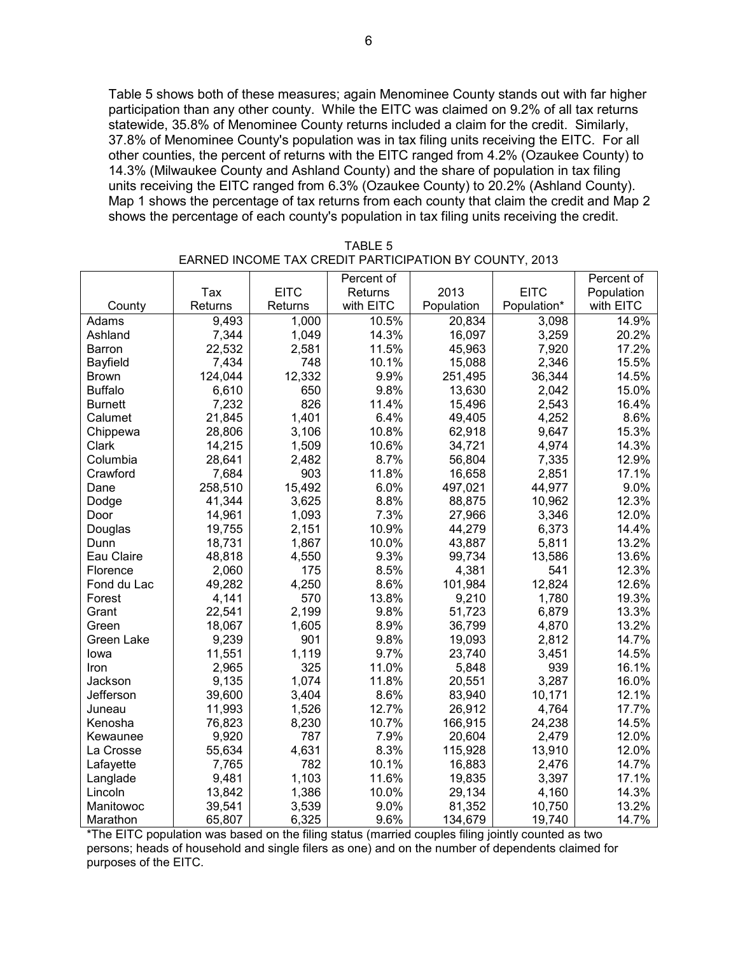Table 5 shows both of these measures; again Menominee County stands out with far higher participation than any other county. While the EITC was claimed on 9.2% of all tax returns statewide, 35.8% of Menominee County returns included a claim for the credit. Similarly, 37.8% of Menominee County's population was in tax filing units receiving the EITC. For all other counties, the percent of returns with the EITC ranged from 4.2% (Ozaukee County) to 14.3% (Milwaukee County and Ashland County) and the share of population in tax filing units receiving the EITC ranged from 6.3% (Ozaukee County) to 20.2% (Ashland County). Map 1 shows the percentage of tax returns from each county that claim the credit and Map 2 shows the percentage of each county's population in tax filing units receiving the credit.

|                 |         |             | Percent of |            |             | Percent of |
|-----------------|---------|-------------|------------|------------|-------------|------------|
|                 | Tax     | <b>EITC</b> | Returns    | 2013       | <b>EITC</b> | Population |
| County          | Returns | Returns     | with EITC  | Population | Population* | with EITC  |
| Adams           | 9,493   | 1,000       | 10.5%      | 20,834     | 3,098       | 14.9%      |
| Ashland         | 7,344   | 1,049       | 14.3%      | 16,097     | 3,259       | 20.2%      |
| Barron          | 22,532  | 2,581       | 11.5%      | 45,963     | 7,920       | 17.2%      |
| <b>Bayfield</b> | 7,434   | 748         | 10.1%      | 15,088     | 2,346       | 15.5%      |
| <b>Brown</b>    | 124,044 | 12,332      | 9.9%       | 251,495    | 36,344      | 14.5%      |
| <b>Buffalo</b>  | 6,610   | 650         | 9.8%       | 13,630     | 2,042       | 15.0%      |
| <b>Burnett</b>  | 7,232   | 826         | 11.4%      | 15,496     | 2,543       | 16.4%      |
| Calumet         | 21,845  | 1,401       | 6.4%       | 49,405     | 4,252       | 8.6%       |
| Chippewa        | 28,806  | 3,106       | 10.8%      | 62,918     | 9,647       | 15.3%      |
| Clark           | 14,215  | 1,509       | 10.6%      | 34,721     | 4,974       | 14.3%      |
| Columbia        | 28,641  | 2,482       | 8.7%       | 56,804     | 7,335       | 12.9%      |
| Crawford        | 7,684   | 903         | 11.8%      | 16,658     | 2,851       | 17.1%      |
| Dane            | 258,510 | 15,492      | 6.0%       | 497,021    | 44,977      | 9.0%       |
| Dodge           | 41,344  | 3,625       | 8.8%       | 88,875     | 10,962      | 12.3%      |
| Door            | 14,961  | 1,093       | 7.3%       | 27,966     | 3,346       | 12.0%      |
| Douglas         | 19,755  | 2,151       | 10.9%      | 44,279     | 6,373       | 14.4%      |
| Dunn            | 18,731  | 1,867       | 10.0%      | 43,887     | 5,811       | 13.2%      |
| Eau Claire      | 48,818  | 4,550       | 9.3%       | 99,734     | 13,586      | 13.6%      |
| Florence        | 2,060   | 175         | 8.5%       | 4,381      | 541         | 12.3%      |
| Fond du Lac     | 49,282  | 4,250       | 8.6%       | 101,984    | 12,824      | 12.6%      |
| Forest          | 4,141   | 570         | 13.8%      | 9,210      | 1,780       | 19.3%      |
| Grant           | 22,541  | 2,199       | 9.8%       | 51,723     | 6,879       | 13.3%      |
| Green           | 18,067  | 1,605       | 8.9%       | 36,799     | 4,870       | 13.2%      |
| Green Lake      | 9,239   | 901         | 9.8%       | 19,093     | 2,812       | 14.7%      |
| lowa            | 11,551  | 1,119       | 9.7%       | 23,740     | 3,451       | 14.5%      |
| Iron            | 2,965   | 325         | 11.0%      | 5,848      | 939         | 16.1%      |
| Jackson         | 9,135   | 1,074       | 11.8%      | 20,551     | 3,287       | 16.0%      |
| Jefferson       | 39,600  | 3,404       | 8.6%       | 83,940     | 10,171      | 12.1%      |
| Juneau          | 11,993  | 1,526       | 12.7%      | 26,912     | 4,764       | 17.7%      |
| Kenosha         | 76,823  | 8,230       | 10.7%      | 166,915    | 24,238      | 14.5%      |
| Kewaunee        | 9,920   | 787         | 7.9%       | 20,604     | 2,479       | 12.0%      |
| La Crosse       | 55,634  | 4,631       | 8.3%       | 115,928    | 13,910      | 12.0%      |
| Lafayette       | 7,765   | 782         | 10.1%      | 16,883     | 2,476       | 14.7%      |
| Langlade        | 9,481   | 1,103       | 11.6%      | 19,835     | 3,397       | 17.1%      |
| Lincoln         | 13,842  | 1,386       | 10.0%      | 29,134     | 4,160       | 14.3%      |
| Manitowoc       | 39,541  | 3,539       | 9.0%       | 81,352     | 10,750      | 13.2%      |
| Marathon        | 65,807  | 6,325       | 9.6%       | 134,679    | 19,740      | 14.7%      |

TABLE 5 EARNED INCOME TAX CREDIT PARTICIPATION BY COUNTY, 2013

\*The EITC population was based on the filing status (married couples filing jointly counted as two persons; heads of household and single filers as one) and on the number of dependents claimed for purposes of the EITC.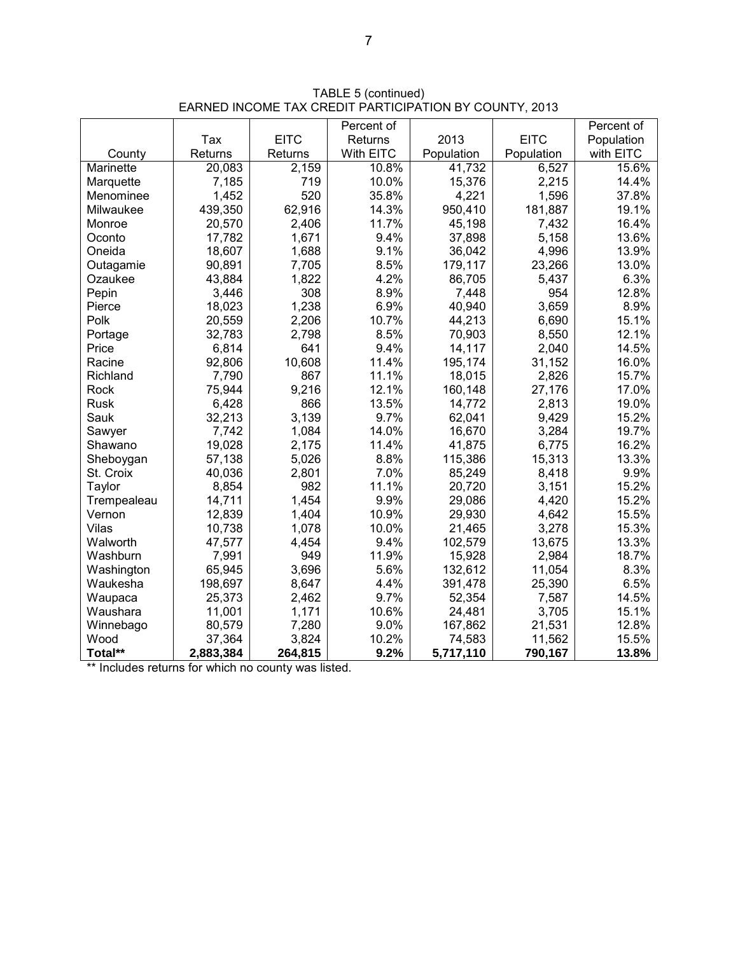|             |           |             | Percent of |            |             | Percent of |
|-------------|-----------|-------------|------------|------------|-------------|------------|
|             | Tax       | <b>EITC</b> | Returns    | 2013       | <b>EITC</b> | Population |
| County      | Returns   | Returns     | With EITC  | Population | Population  | with EITC  |
| Marinette   | 20,083    | 2,159       | 10.8%      | 41,732     | 6,527       | 15.6%      |
| Marquette   | 7,185     | 719         | 10.0%      | 15,376     | 2,215       | 14.4%      |
| Menominee   | 1,452     | 520         | 35.8%      | 4,221      | 1,596       | 37.8%      |
| Milwaukee   | 439,350   | 62,916      | 14.3%      | 950,410    | 181,887     | 19.1%      |
| Monroe      | 20,570    | 2,406       | 11.7%      | 45,198     | 7,432       | 16.4%      |
| Oconto      | 17,782    | 1,671       | 9.4%       | 37,898     | 5,158       | 13.6%      |
| Oneida      | 18,607    | 1,688       | 9.1%       | 36,042     | 4,996       | 13.9%      |
| Outagamie   | 90,891    | 7,705       | 8.5%       | 179,117    | 23,266      | 13.0%      |
| Ozaukee     | 43,884    | 1,822       | 4.2%       | 86,705     | 5,437       | 6.3%       |
| Pepin       | 3,446     | 308         | 8.9%       | 7,448      | 954         | 12.8%      |
| Pierce      | 18,023    | 1,238       | 6.9%       | 40,940     | 3,659       | 8.9%       |
| Polk        | 20,559    | 2,206       | 10.7%      | 44,213     | 6,690       | 15.1%      |
| Portage     | 32,783    | 2,798       | 8.5%       | 70,903     | 8,550       | 12.1%      |
| Price       | 6,814     | 641         | 9.4%       | 14,117     | 2,040       | 14.5%      |
| Racine      | 92,806    | 10,608      | 11.4%      | 195,174    | 31,152      | 16.0%      |
| Richland    | 7,790     | 867         | 11.1%      | 18,015     | 2,826       | 15.7%      |
| Rock        | 75,944    | 9,216       | 12.1%      | 160,148    | 27,176      | 17.0%      |
| Rusk        | 6,428     | 866         | 13.5%      | 14,772     | 2,813       | 19.0%      |
| Sauk        | 32,213    | 3,139       | 9.7%       | 62,041     | 9,429       | 15.2%      |
| Sawyer      | 7,742     | 1,084       | 14.0%      | 16,670     | 3,284       | 19.7%      |
| Shawano     | 19,028    | 2,175       | 11.4%      | 41,875     | 6,775       | 16.2%      |
| Sheboygan   | 57,138    | 5,026       | 8.8%       | 115,386    | 15,313      | 13.3%      |
| St. Croix   | 40,036    | 2,801       | 7.0%       | 85,249     | 8,418       | 9.9%       |
| Taylor      | 8,854     | 982         | 11.1%      | 20,720     | 3,151       | 15.2%      |
| Trempealeau | 14,711    | 1,454       | 9.9%       | 29,086     | 4,420       | 15.2%      |
| Vernon      | 12,839    | 1,404       | 10.9%      | 29,930     | 4,642       | 15.5%      |
| Vilas       | 10,738    | 1,078       | 10.0%      | 21,465     | 3,278       | 15.3%      |
| Walworth    | 47,577    | 4,454       | 9.4%       | 102,579    | 13,675      | 13.3%      |
| Washburn    | 7,991     | 949         | 11.9%      | 15,928     | 2,984       | 18.7%      |
| Washington  | 65,945    | 3,696       | 5.6%       | 132,612    | 11,054      | 8.3%       |
| Waukesha    | 198,697   | 8,647       | 4.4%       | 391,478    | 25,390      | 6.5%       |
| Waupaca     | 25,373    | 2,462       | 9.7%       | 52,354     | 7,587       | 14.5%      |
| Waushara    | 11,001    | 1,171       | 10.6%      | 24,481     | 3,705       | 15.1%      |
| Winnebago   | 80,579    | 7,280       | 9.0%       | 167,862    | 21,531      | 12.8%      |
| Wood        | 37,364    | 3,824       | 10.2%      | 74,583     | 11,562      | 15.5%      |
| Total**     | 2,883,384 | 264,815     | 9.2%       | 5,717,110  | 790,167     | 13.8%      |

TABLE 5 (continued) EARNED INCOME TAX CREDIT PARTICIPATION BY COUNTY, 2013

\*\* Includes returns for which no county was listed.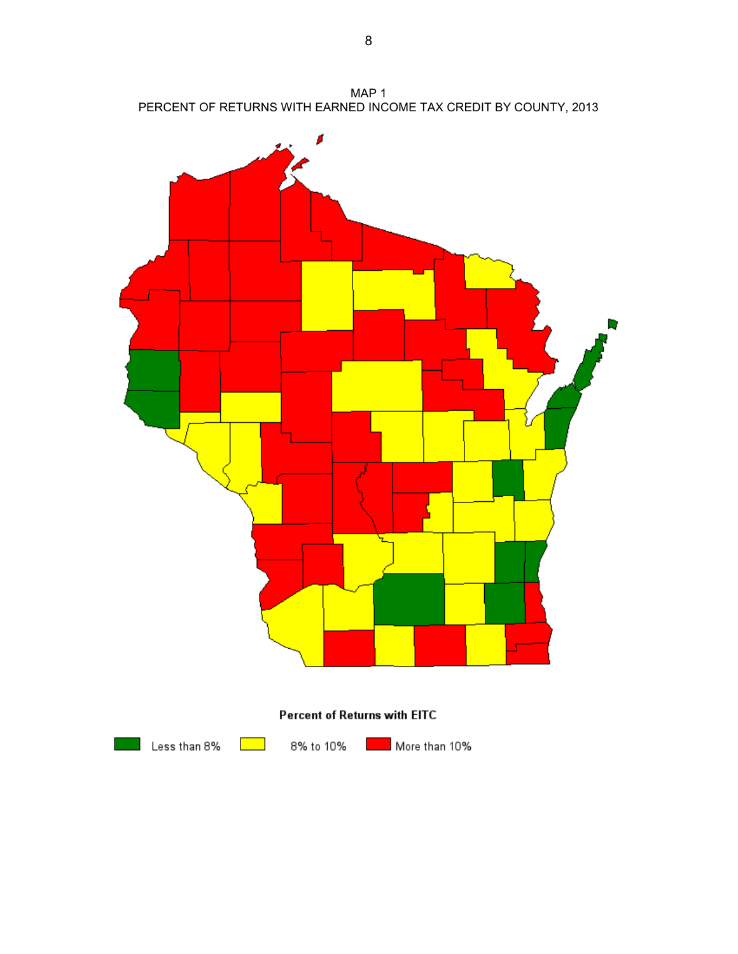